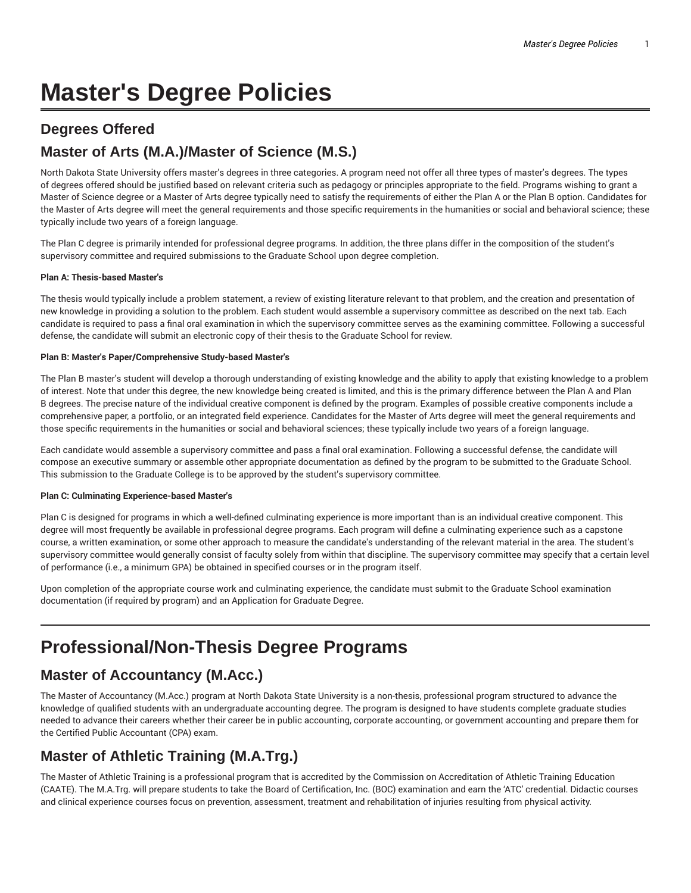# **Master's Degree Policies**

## **Degrees Offered**

# **Master of Arts (M.A.)/Master of Science (M.S.)**

North Dakota State University offers master's degrees in three categories. A program need not offer all three types of master's degrees. The types of degrees offered should be justified based on relevant criteria such as pedagogy or principles appropriate to the field. Programs wishing to grant a Master of Science degree or a Master of Arts degree typically need to satisfy the requirements of either the Plan A or the Plan B option. Candidates for the Master of Arts degree will meet the general requirements and those specific requirements in the humanities or social and behavioral science; these typically include two years of a foreign language.

The Plan C degree is primarily intended for professional degree programs. In addition, the three plans differ in the composition of the student's supervisory committee and required submissions to the Graduate School upon degree completion.

#### **Plan A: Thesis-based Master's**

The thesis would typically include a problem statement, a review of existing literature relevant to that problem, and the creation and presentation of new knowledge in providing a solution to the problem. Each student would assemble a supervisory committee as described on the next tab. Each candidate is required to pass a final oral examination in which the supervisory committee serves as the examining committee. Following a successful defense, the candidate will submit an electronic copy of their thesis to the Graduate School for review.

#### **Plan B: Master's Paper/Comprehensive Study-based Master's**

The Plan B master's student will develop a thorough understanding of existing knowledge and the ability to apply that existing knowledge to a problem of interest. Note that under this degree, the new knowledge being created is limited, and this is the primary difference between the Plan A and Plan B degrees. The precise nature of the individual creative component is defined by the program. Examples of possible creative components include a comprehensive paper, a portfolio, or an integrated field experience. Candidates for the Master of Arts degree will meet the general requirements and those specific requirements in the humanities or social and behavioral sciences; these typically include two years of a foreign language.

Each candidate would assemble a supervisory committee and pass a final oral examination. Following a successful defense, the candidate will compose an executive summary or assemble other appropriate documentation as defined by the program to be submitted to the Graduate School. This submission to the Graduate College is to be approved by the student's supervisory committee.

#### **Plan C: Culminating Experience-based Master's**

Plan C is designed for programs in which a well-defined culminating experience is more important than is an individual creative component. This degree will most frequently be available in professional degree programs. Each program will define a culminating experience such as a capstone course, a written examination, or some other approach to measure the candidate's understanding of the relevant material in the area. The student's supervisory committee would generally consist of faculty solely from within that discipline. The supervisory committee may specify that a certain level of performance (i.e., a minimum GPA) be obtained in specified courses or in the program itself.

Upon completion of the appropriate course work and culminating experience, the candidate must submit to the Graduate School examination documentation (if required by program) and an Application for Graduate Degree.

# **Professional/Non-Thesis Degree Programs**

#### **Master of Accountancy (M.Acc.)**

The Master of Accountancy (M.Acc.) program at North Dakota State University is a non-thesis, professional program structured to advance the knowledge of qualified students with an undergraduate accounting degree. The program is designed to have students complete graduate studies needed to advance their careers whether their career be in public accounting, corporate accounting, or government accounting and prepare them for the Certified Public Accountant (CPA) exam.

### **Master of Athletic Training (M.A.Trg.)**

The Master of Athletic Training is a professional program that is accredited by the Commission on Accreditation of Athletic Training Education (CAATE). The M.A.Trg. will prepare students to take the Board of Certification, Inc. (BOC) examination and earn the 'ATC' credential. Didactic courses and clinical experience courses focus on prevention, assessment, treatment and rehabilitation of injuries resulting from physical activity.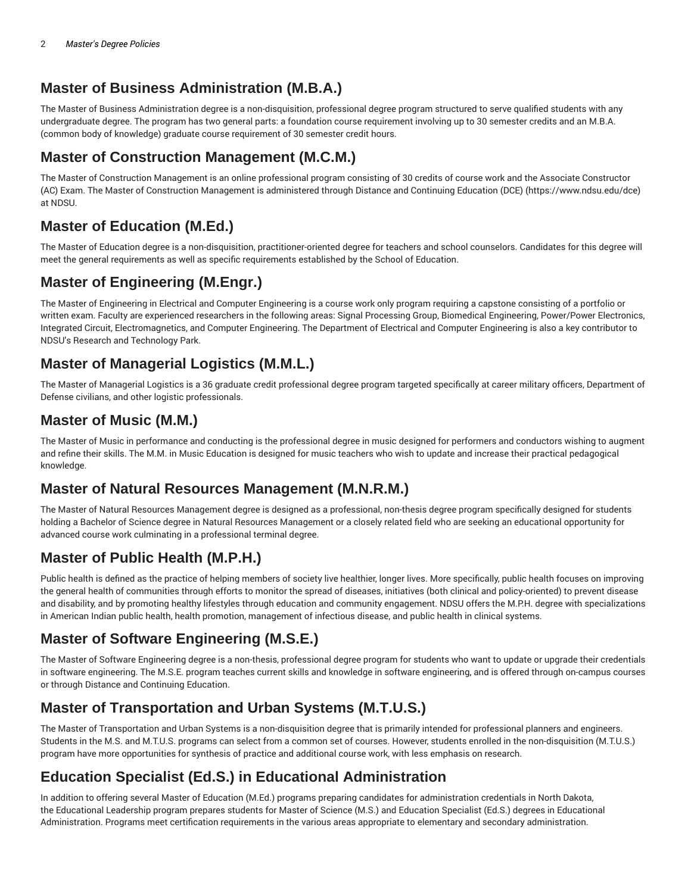### **Master of Business Administration (M.B.A.)**

The Master of Business Administration degree is a non-disquisition, professional degree program structured to serve qualified students with any undergraduate degree. The program has two general parts: a foundation course requirement involving up to 30 semester credits and an M.B.A. (common body of knowledge) graduate course requirement of 30 semester credit hours.

#### **Master of Construction Management (M.C.M.)**

The Master of Construction Management is an online professional program consisting of 30 credits of course work and the Associate Constructor (AC) Exam. The Master of Construction Management is administered through Distance and Continuing Education (DCE) (https://www.ndsu.edu/dce) at NDSU.

### **Master of Education (M.Ed.)**

The Master of Education degree is a non-disquisition, practitioner-oriented degree for teachers and school counselors. Candidates for this degree will meet the general requirements as well as specific requirements established by the School of Education.

# **Master of Engineering (M.Engr.)**

The Master of Engineering in Electrical and Computer Engineering is a course work only program requiring a capstone consisting of a portfolio or written exam. Faculty are experienced researchers in the following areas: Signal Processing Group, Biomedical Engineering, Power/Power Electronics, Integrated Circuit, Electromagnetics, and Computer Engineering. The Department of Electrical and Computer Engineering is also a key contributor to NDSU's Research and Technology Park.

### **Master of Managerial Logistics (M.M.L.)**

The Master of Managerial Logistics is a 36 graduate credit professional degree program targeted specifically at career military officers, Department of Defense civilians, and other logistic professionals.

#### **Master of Music (M.M.)**

The Master of Music in performance and conducting is the professional degree in music designed for performers and conductors wishing to augment and refine their skills. The M.M. in Music Education is designed for music teachers who wish to update and increase their practical pedagogical knowledge.

### **Master of Natural Resources Management (M.N.R.M.)**

The Master of Natural Resources Management degree is designed as a professional, non-thesis degree program specifically designed for students holding a Bachelor of Science degree in Natural Resources Management or a closely related field who are seeking an educational opportunity for advanced course work culminating in a professional terminal degree.

### **Master of Public Health (M.P.H.)**

Public health is defined as the practice of helping members of society live healthier, longer lives. More specifically, public health focuses on improving the general health of communities through efforts to monitor the spread of diseases, initiatives (both clinical and policy-oriented) to prevent disease and disability, and by promoting healthy lifestyles through education and community engagement. NDSU offers the M.P.H. degree with specializations in American Indian public health, health promotion, management of infectious disease, and public health in clinical systems.

### **Master of Software Engineering (M.S.E.)**

The Master of Software Engineering degree is a non-thesis, professional degree program for students who want to update or upgrade their credentials in software engineering. The M.S.E. program teaches current skills and knowledge in software engineering, and is offered through on-campus courses or through Distance and Continuing Education.

### **Master of Transportation and Urban Systems (M.T.U.S.)**

The Master of Transportation and Urban Systems is a non-disquisition degree that is primarily intended for professional planners and engineers. Students in the M.S. and M.T.U.S. programs can select from a common set of courses. However, students enrolled in the non-disquisition (M.T.U.S.) program have more opportunities for synthesis of practice and additional course work, with less emphasis on research.

# **Education Specialist (Ed.S.) in Educational Administration**

In addition to offering several Master of Education (M.Ed.) programs preparing candidates for administration credentials in North Dakota, the Educational Leadership program prepares students for Master of Science (M.S.) and Education Specialist (Ed.S.) degrees in Educational Administration. Programs meet certification requirements in the various areas appropriate to elementary and secondary administration.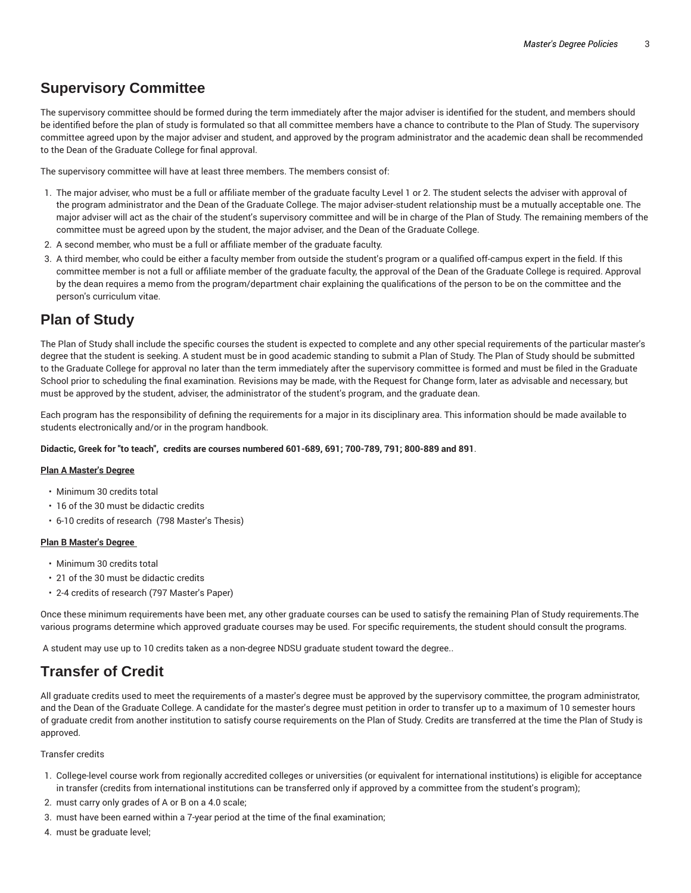### **Supervisory Committee**

The supervisory committee should be formed during the term immediately after the major adviser is identified for the student, and members should be identified before the plan of study is formulated so that all committee members have a chance to contribute to the Plan of Study. The supervisory committee agreed upon by the major adviser and student, and approved by the program administrator and the academic dean shall be recommended to the Dean of the Graduate College for final approval.

The supervisory committee will have at least three members. The members consist of:

- 1. The major adviser, who must be a full or affiliate member of the graduate faculty Level 1 or 2. The student selects the adviser with approval of the program administrator and the Dean of the Graduate College. The major adviser-student relationship must be a mutually acceptable one. The major adviser will act as the chair of the student's supervisory committee and will be in charge of the Plan of Study. The remaining members of the committee must be agreed upon by the student, the major adviser, and the Dean of the Graduate College.
- 2. A second member, who must be a full or affiliate member of the graduate faculty.
- 3. A third member, who could be either a faculty member from outside the student's program or a qualified off-campus expert in the field. If this committee member is not a full or affiliate member of the graduate faculty, the approval of the Dean of the Graduate College is required. Approval by the dean requires a memo from the program/department chair explaining the qualifications of the person to be on the committee and the person's curriculum vitae.

### **Plan of Study**

The Plan of Study shall include the specific courses the student is expected to complete and any other special requirements of the particular master's degree that the student is seeking. A student must be in good academic standing to submit a Plan of Study. The Plan of Study should be submitted to the Graduate College for approval no later than the term immediately after the supervisory committee is formed and must be filed in the Graduate School prior to scheduling the final examination. Revisions may be made, with the Request for Change form, later as advisable and necessary, but must be approved by the student, adviser, the administrator of the student's program, and the graduate dean.

Each program has the responsibility of defining the requirements for a major in its disciplinary area. This information should be made available to students electronically and/or in the program handbook.

**Didactic, Greek for "to teach", credits are courses numbered 601-689, 691; 700-789, 791; 800-889 and 891**.

#### **Plan A Master's Degree**

- Minimum 30 credits total
- 16 of the 30 must be didactic credits
- 6-10 credits of research (798 Master's Thesis)

#### **Plan B Master's Degree**

- Minimum 30 credits total
- 21 of the 30 must be didactic credits
- 2-4 credits of research (797 Master's Paper)

Once these minimum requirements have been met, any other graduate courses can be used to satisfy the remaining Plan of Study requirements.The various programs determine which approved graduate courses may be used. For specific requirements, the student should consult the programs.

A student may use up to 10 credits taken as a non-degree NDSU graduate student toward the degree..

#### **Transfer of Credit**

All graduate credits used to meet the requirements of a master's degree must be approved by the supervisory committee, the program administrator, and the Dean of the Graduate College. A candidate for the master's degree must petition in order to transfer up to a maximum of 10 semester hours of graduate credit from another institution to satisfy course requirements on the Plan of Study. Credits are transferred at the time the Plan of Study is approved.

#### Transfer credits

- 1. College-level course work from regionally accredited colleges or universities (or equivalent for international institutions) is eligible for acceptance in transfer (credits from international institutions can be transferred only if approved by a committee from the student's program);
- 2. must carry only grades of A or B on a 4.0 scale;
- 3. must have been earned within a 7-year period at the time of the final examination;
- 4. must be graduate level;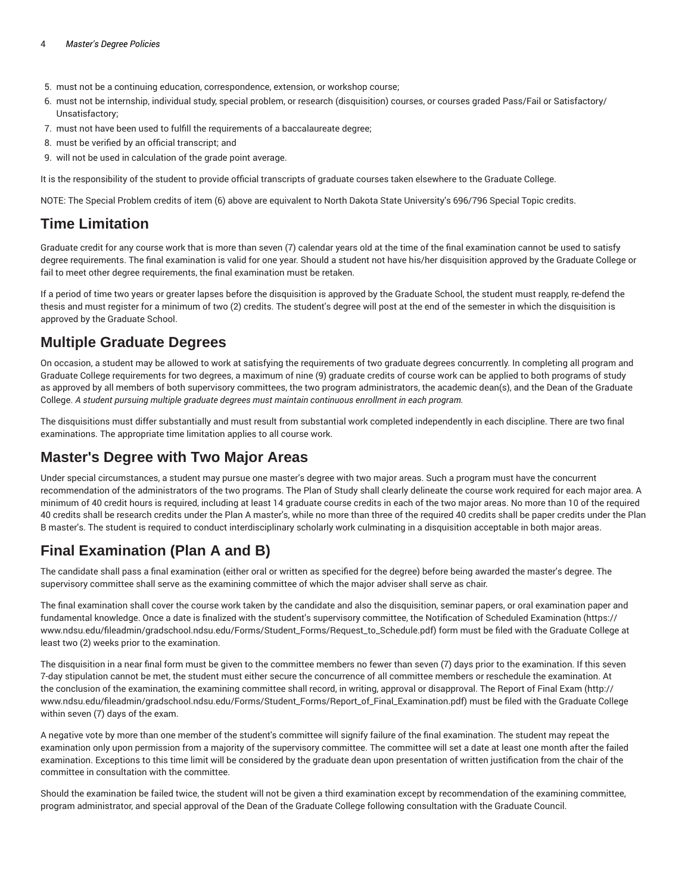- 5. must not be a continuing education, correspondence, extension, or workshop course;
- 6. must not be internship, individual study, special problem, or research (disquisition) courses, or courses graded Pass/Fail or Satisfactory/ Unsatisfactory;
- 7. must not have been used to fulfill the requirements of a baccalaureate degree;
- 8. must be verified by an official transcript; and
- 9. will not be used in calculation of the grade point average.

It is the responsibility of the student to provide official transcripts of graduate courses taken elsewhere to the Graduate College.

NOTE: The Special Problem credits of item (6) above are equivalent to North Dakota State University's 696/796 Special Topic credits.

### **Time Limitation**

Graduate credit for any course work that is more than seven (7) calendar years old at the time of the final examination cannot be used to satisfy degree requirements. The final examination is valid for one year. Should a student not have his/her disquisition approved by the Graduate College or fail to meet other degree requirements, the final examination must be retaken.

If a period of time two years or greater lapses before the disquisition is approved by the Graduate School, the student must reapply, re-defend the thesis and must register for a minimum of two (2) credits. The student's degree will post at the end of the semester in which the disquisition is approved by the Graduate School.

### **Multiple Graduate Degrees**

On occasion, a student may be allowed to work at satisfying the requirements of two graduate degrees concurrently. In completing all program and Graduate College requirements for two degrees, a maximum of nine (9) graduate credits of course work can be applied to both programs of study as approved by all members of both supervisory committees, the two program administrators, the academic dean(s), and the Dean of the Graduate College. *A student pursuing multiple graduate degrees must maintain continuous enrollment in each program.*

The disquisitions must differ substantially and must result from substantial work completed independently in each discipline. There are two final examinations. The appropriate time limitation applies to all course work.

### **Master's Degree with Two Major Areas**

Under special circumstances, a student may pursue one master's degree with two major areas. Such a program must have the concurrent recommendation of the administrators of the two programs. The Plan of Study shall clearly delineate the course work required for each major area. A minimum of 40 credit hours is required, including at least 14 graduate course credits in each of the two major areas. No more than 10 of the required 40 credits shall be research credits under the Plan A master's, while no more than three of the required 40 credits shall be paper credits under the Plan B master's. The student is required to conduct interdisciplinary scholarly work culminating in a disquisition acceptable in both major areas.

# **Final Examination (Plan A and B)**

The candidate shall pass a final examination (either oral or written as specified for the degree) before being awarded the master's degree. The supervisory committee shall serve as the examining committee of which the major adviser shall serve as chair.

The final examination shall cover the course work taken by the candidate and also the disquisition, seminar papers, or oral examination paper and fundamental knowledge. Once a date is finalized with the student's supervisory committee, the Notification of Scheduled Examination (https:// www.ndsu.edu/fileadmin/gradschool.ndsu.edu/Forms/Student\_Forms/Request\_to\_Schedule.pdf) form must be filed with the Graduate College at least two (2) weeks prior to the examination.

The disquisition in a near final form must be given to the committee members no fewer than seven (7) days prior to the examination. If this seven 7-day stipulation cannot be met, the student must either secure the concurrence of all committee members or reschedule the examination. At the conclusion of the examination, the examining committee shall record, in writing, approval or disapproval. The Report of Final Exam (http:// www.ndsu.edu/fileadmin/gradschool.ndsu.edu/Forms/Student\_Forms/Report\_of\_Final\_Examination.pdf) must be filed with the Graduate College within seven (7) days of the exam.

A negative vote by more than one member of the student's committee will signify failure of the final examination. The student may repeat the examination only upon permission from a majority of the supervisory committee. The committee will set a date at least one month after the failed examination. Exceptions to this time limit will be considered by the graduate dean upon presentation of written justification from the chair of the committee in consultation with the committee.

Should the examination be failed twice, the student will not be given a third examination except by recommendation of the examining committee, program administrator, and special approval of the Dean of the Graduate College following consultation with the Graduate Council.